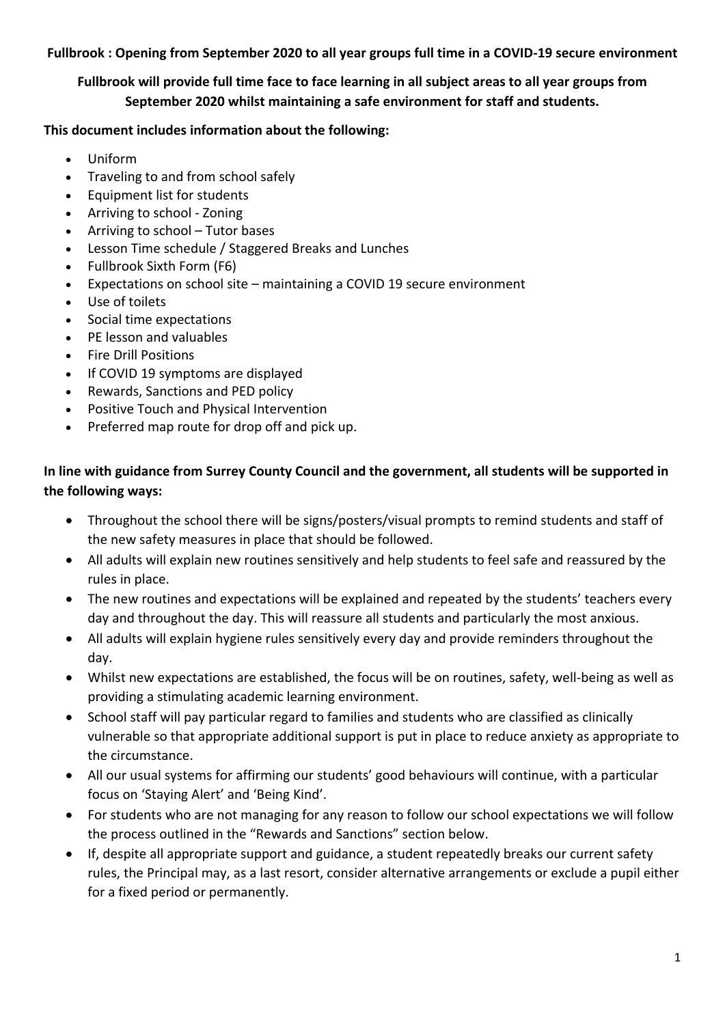**Fullbrook : Opening from September 2020 to all year groups full time in a COVID-19 secure environment**

**Fullbrook will provide full time face to face learning in all subject areas to all year groups from September 2020 whilst maintaining a safe environment for staff and students.**

### **This document includes information about the following:**

- Uniform
- Traveling to and from school safely
- Equipment list for students
- Arriving to school Zoning
- Arriving to school Tutor bases
- Lesson Time schedule / Staggered Breaks and Lunches
- Fullbrook Sixth Form (F6)
- Expectations on school site maintaining a COVID 19 secure environment
- Use of toilets
- Social time expectations
- PE lesson and valuables
- Fire Drill Positions
- If COVID 19 symptoms are displayed
- Rewards, Sanctions and PED policy
- Positive Touch and Physical Intervention
- Preferred map route for drop off and pick up.

# **In line with guidance from Surrey County Council and the government, all students will be supported in the following ways:**

- Throughout the school there will be signs/posters/visual prompts to remind students and staff of the new safety measures in place that should be followed.
- All adults will explain new routines sensitively and help students to feel safe and reassured by the rules in place.
- The new routines and expectations will be explained and repeated by the students' teachers every day and throughout the day. This will reassure all students and particularly the most anxious.
- All adults will explain hygiene rules sensitively every day and provide reminders throughout the day.
- Whilst new expectations are established, the focus will be on routines, safety, well-being as well as providing a stimulating academic learning environment.
- School staff will pay particular regard to families and students who are classified as clinically vulnerable so that appropriate additional support is put in place to reduce anxiety as appropriate to the circumstance.
- All our usual systems for affirming our students' good behaviours will continue, with a particular focus on 'Staying Alert' and 'Being Kind'.
- For students who are not managing for any reason to follow our school expectations we will follow the process outlined in the "Rewards and Sanctions" section below.
- If, despite all appropriate support and guidance, a student repeatedly breaks our current safety rules, the Principal may, as a last resort, consider alternative arrangements or exclude a pupil either for a fixed period or permanently.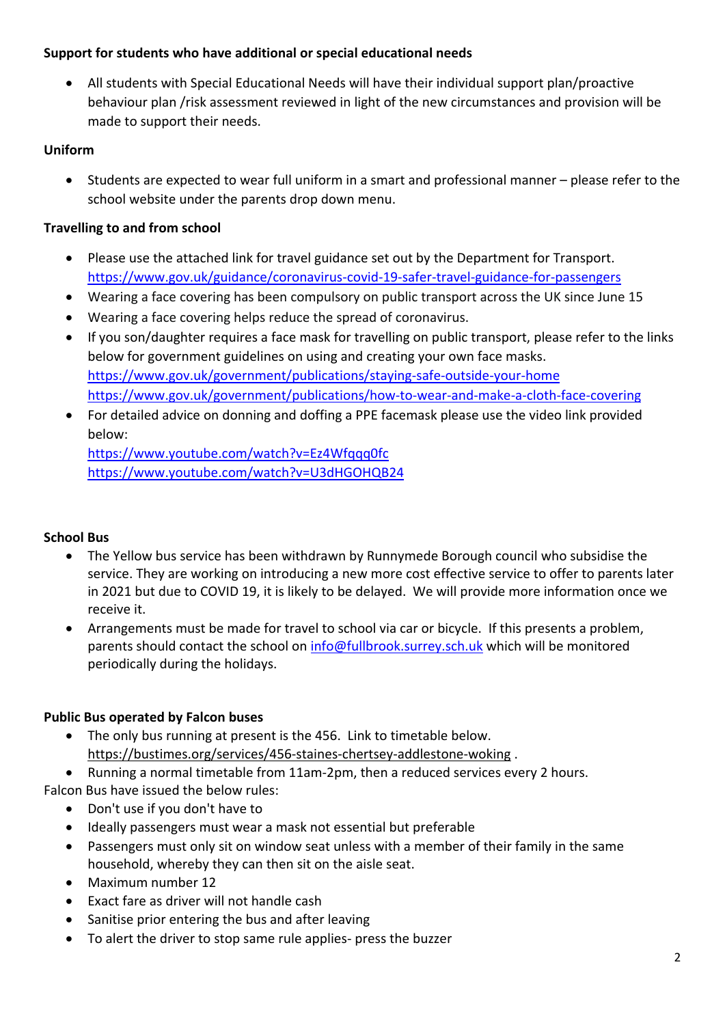## **Support for students who have additional or special educational needs**

 All students with Special Educational Needs will have their individual support plan/proactive behaviour plan /risk assessment reviewed in light of the new circumstances and provision will be made to support their needs.

# **Uniform**

 Students are expected to wear full uniform in a smart and professional manner – please refer to the school website under the parents drop down menu.

# **Travelling to and from school**

- Please use the attached link for travel guidance set out by the Department for Transport. <https://www.gov.uk/guidance/coronavirus-covid-19-safer-travel-guidance-for-passengers>
- Wearing a face covering has been compulsory on public transport across the UK since June 15
- Wearing a face covering helps reduce the spread of coronavirus.
- If you son/daughter requires a face mask for travelling on public transport, please refer to the links below for government guidelines on using and creating your own face masks. <https://www.gov.uk/government/publications/staying-safe-outside-your-home> <https://www.gov.uk/government/publications/how-to-wear-and-make-a-cloth-face-covering>
- For detailed advice on donning and doffing a PPE facemask please use the video link provided below[:](https://www.youtube.com/watch?v=Ez4Wfqqq0fc)

<https://www.youtube.com/watch?v=Ez4Wfqqq0fc> <https://www.youtube.com/watch?v=U3dHGOHQB24>

# **School Bus**

- The Yellow bus service has been withdrawn by Runnymede Borough council who subsidise the service. They are working on introducing a new more cost effective service to offer to parents later in 2021 but due to COVID 19, it is likely to be delayed. We will provide more information once we receive it.
- Arrangements must be made for travel to school via car or bicycle. If this presents a problem, parents should contact the school on [info@fullbrook.surrey.sch.uk](mailto:info@fullbrook.surrey.sch.uk) which will be monitored periodically during the holidays.

# **Public Bus operated by Falcon buses**

- The only bus running at present is the 456. Link to timetable below. <https://bustimes.org/services/456-staines-chertsey-addlestone-woking> .
- Running a normal timetable from 11am-2pm, then a reduced services every 2 hours.

Falcon Bus have issued the below rules:

- Don't use if you don't have to
- Ideally passengers must wear a mask not essential but preferable
- Passengers must only sit on window seat unless with a member of their family in the same household, whereby they can then sit on the aisle seat.
- Maximum number 12
- Exact fare as driver will not handle cash
- Sanitise prior entering the bus and after leaving
- To alert the driver to stop same rule applies- press the buzzer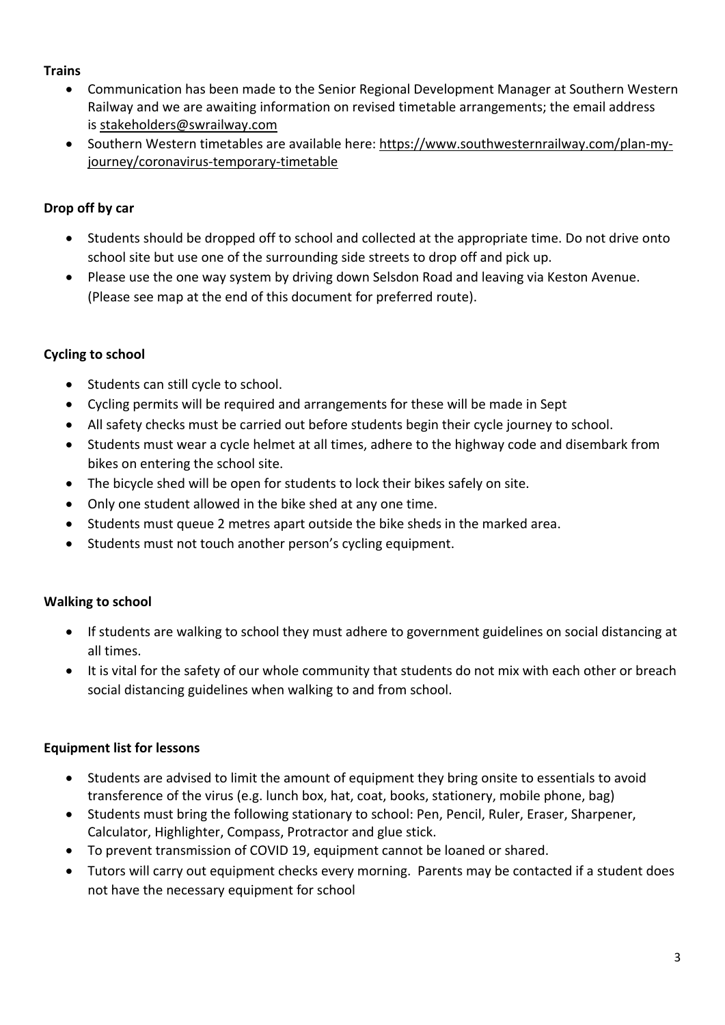## **Trains**

- Communication has been made to the Senior Regional Development Manager at Southern Western Railway and we are awaiting information on revised timetable arrangements; the email address is [stakeholders@swrailway.com](mailto:stakeholders@swrailway.com)
- Southern Western timetables are available here: [https://www.southwesternrailway.com/plan-my](https://www.southwesternrailway.com/plan-my-journey/coronavirus-temporary-timetable)[journey/coronavirus-temporary-timetable](https://www.southwesternrailway.com/plan-my-journey/coronavirus-temporary-timetable)

# **Drop off by car**

- Students should be dropped off to school and collected at the appropriate time. Do not drive onto school site but use one of the surrounding side streets to drop off and pick up.
- Please use the one way system by driving down Selsdon Road and leaving via Keston Avenue. (Please see map at the end of this document for preferred route).

# **Cycling to school**

- Students can still cycle to school.
- Cycling permits will be required and arrangements for these will be made in Sept
- All safety checks must be carried out before students begin their cycle journey to school.
- Students must wear a cycle helmet at all times, adhere to the highway code and disembark from bikes on entering the school site.
- The bicycle shed will be open for students to lock their bikes safely on site.
- Only one student allowed in the bike shed at any one time.
- Students must queue 2 metres apart outside the bike sheds in the marked area.
- Students must not touch another person's cycling equipment.

# **Walking to school**

- If students are walking to school they must adhere to government guidelines on social distancing at all times.
- It is vital for the safety of our whole community that students do not mix with each other or breach social distancing guidelines when walking to and from school.

# **Equipment list for lessons**

- Students are advised to limit the amount of equipment they bring onsite to essentials to avoid transference of the virus (e.g. lunch box, hat, coat, books, stationery, mobile phone, bag)
- Students must bring the following stationary to school: Pen, Pencil, Ruler, Eraser, Sharpener, Calculator, Highlighter, Compass, Protractor and glue stick.
- To prevent transmission of COVID 19, equipment cannot be loaned or shared.
- Tutors will carry out equipment checks every morning. Parents may be contacted if a student does not have the necessary equipment for school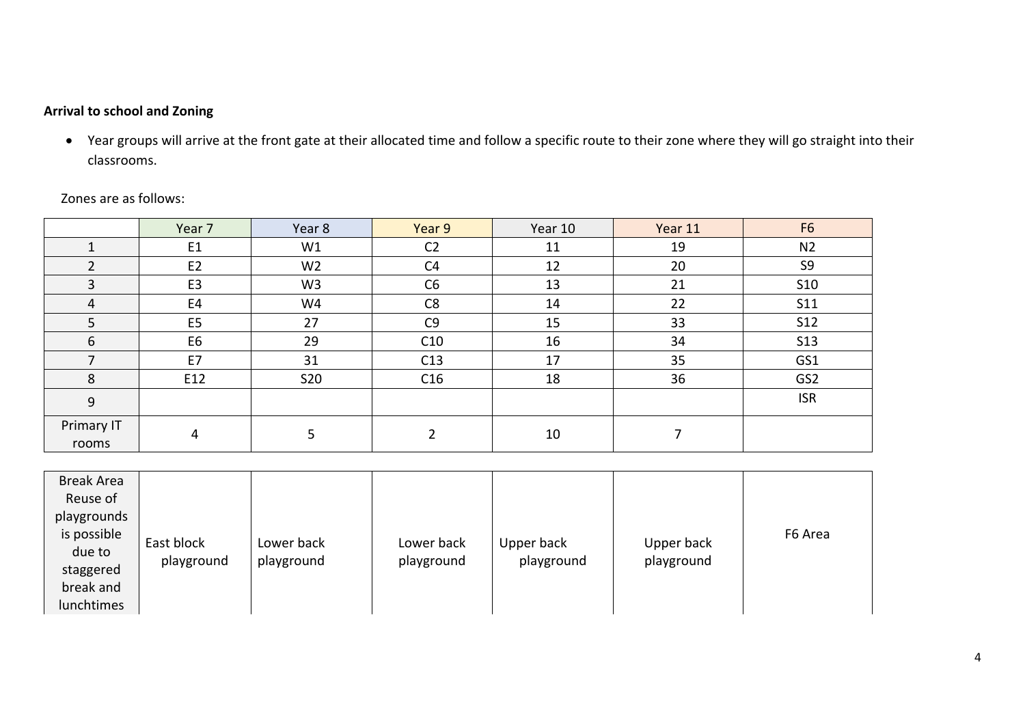## **Arrival to school and Zoning**

 Year groups will arrive at the front gate at their allocated time and follow a specific route to their zone where they will go straight into their classrooms.

|                     | Year 7         | Year 8         | Year 9         | Year 10 | Year 11 | F <sub>6</sub>  |
|---------------------|----------------|----------------|----------------|---------|---------|-----------------|
|                     | E <sub>1</sub> | W1             | C <sub>2</sub> | 11      | 19      | N <sub>2</sub>  |
|                     | E <sub>2</sub> | W <sub>2</sub> | C4             | 12      | 20      | S <sub>9</sub>  |
| 3                   | E <sub>3</sub> | W <sub>3</sub> | C <sub>6</sub> | 13      | 21      | S10             |
| $\overline{4}$      | E4             | W4             | C <sub>8</sub> | 14      | 22      | S11             |
| 5                   | E <sub>5</sub> | 27             | C <sub>9</sub> | 15      | 33      | <b>S12</b>      |
| 6                   | E <sub>6</sub> | 29             | C10            | 16      | 34      | <b>S13</b>      |
|                     | E7             | 31             | C13            | 17      | 35      | GS1             |
| 8                   | E12            | <b>S20</b>     | C16            | 18      | 36      | GS <sub>2</sub> |
| 9                   |                |                |                |         |         | <b>ISR</b>      |
| Primary IT<br>rooms | 4              |                |                | 10      |         |                 |

Zones are as follows:

| <b>Break Area</b> |            |            |            |            |            |         |
|-------------------|------------|------------|------------|------------|------------|---------|
| Reuse of          |            |            |            |            |            |         |
| playgrounds       |            |            |            |            |            |         |
| is possible       |            |            |            |            |            | F6 Area |
| due to            | East block | Lower back | Lower back | Upper back | Upper back |         |
| staggered         | playground | playground | playground | playground | playground |         |
| break and         |            |            |            |            |            |         |
| lunchtimes        |            |            |            |            |            |         |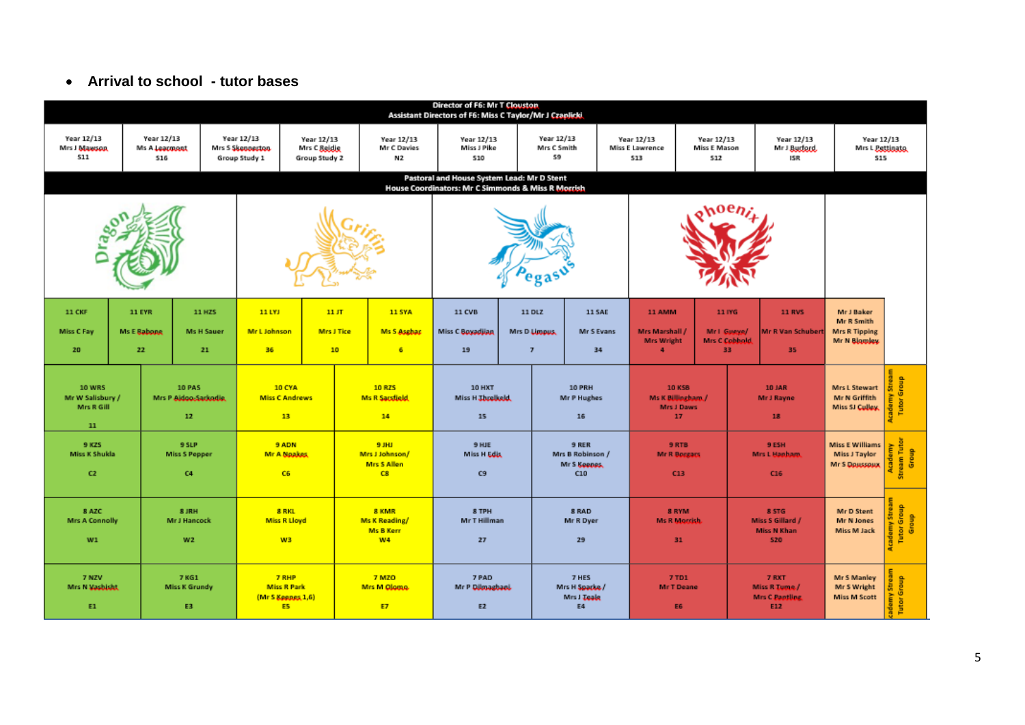### **Arrival to school - tutor bases**

|                                                       | <b>Director of F6: Mr T Clouston</b><br>Assistant Directors of F6: Miss C Taylor/Mr J Czaplicki                                              |                                               |                                     |                                                                       |                                                                     |                                                         |                                         |                                                                                         |                                           |                                                  |                                                        |                                                    |                                                         |                                                                  |                                  |
|-------------------------------------------------------|----------------------------------------------------------------------------------------------------------------------------------------------|-----------------------------------------------|-------------------------------------|-----------------------------------------------------------------------|---------------------------------------------------------------------|---------------------------------------------------------|-----------------------------------------|-----------------------------------------------------------------------------------------|-------------------------------------------|--------------------------------------------------|--------------------------------------------------------|----------------------------------------------------|---------------------------------------------------------|------------------------------------------------------------------|----------------------------------|
| Year 12/13<br>Mrs J Mawson<br>511                     | <b>Year 12/13</b><br>Year 12/13<br>Year 12/13<br>Mrs S Skeppeston<br>Mrs C Reidie<br>Ms A Learnant<br>\$16<br>Group Study 1<br>Group Study 2 |                                               |                                     | Year 12/13<br>Mr C Davies<br>N <sub>2</sub>                           | Year 12/13<br>Year 12/13<br>Mrs C Smith<br>Miss J Pike<br>59<br>510 |                                                         |                                         | Year 12/13<br>Year 12/13<br><b>Miss E Mason</b><br><b>Miss E Lawrence</b><br>513<br>512 |                                           | Year 12/13<br>MrJ Buderd,<br>ISR                 |                                                        | Year 12/13<br>Mrs L Pettinato<br>\$15              |                                                         |                                                                  |                                  |
|                                                       | Pastoral and House System Lead: Mr D Stent<br>House Coordinators: Mr C Simmonds & Miss R Morrish                                             |                                               |                                     |                                                                       |                                                                     |                                                         |                                         |                                                                                         |                                           |                                                  |                                                        |                                                    |                                                         |                                                                  |                                  |
|                                                       |                                                                                                                                              |                                               |                                     |                                                                       |                                                                     |                                                         |                                         |                                                                                         |                                           |                                                  |                                                        |                                                    |                                                         |                                                                  |                                  |
| <b>11 CKF</b><br>Miss C Fay<br>20                     | <b>11 EYR</b><br><b>Ms E Babone</b><br>22                                                                                                    | 11 HZS<br><b>Ms H Sauer</b><br>21             | 11 LYJ<br><b>Mr L</b> Johnson<br>36 |                                                                       | 11JT<br><b>Mrs J Tice</b><br>10                                     | <b>11 SYA</b><br>Ms S Asghar<br>6                       | 11 CVB<br>Miss C Boyadiian<br>19        |                                                                                         | 11 DLZ<br>Mrs D Limpus,<br>$\overline{ }$ | <b>11 SAE</b><br>Mr S Evans<br>34                | 11 AMM<br>Mrs Marshall /<br>Mrs Wright<br>$\ddot{a}$   | 11 IYG<br>Mr1 Gueve/<br><b>Mrs C Cobbold</b><br>33 | 11 RVS<br>Mr R Van Schubert<br>35                       | Mr J Baker<br>Mr R Smith<br><b>Mrs R Tipping</b><br>Mr N Blamley |                                  |
| <b>10 WRS</b><br>Mr W Salisbury /<br>Mrs R Gill<br>11 |                                                                                                                                              | <b>10 PAS</b><br>Mrs P Aldoo Sarkodie,<br>12  |                                     | <b>10 CYA</b><br><b>Miss C Andrews</b><br>13                          |                                                                     | 10 RZS<br>Ms R Sacsfield<br>14                          | <b>10 HXT</b><br>Miss H Threbeld.<br>15 |                                                                                         |                                           | 10 PRH<br>Mr P Hughes<br>16                      | 10 KSB<br>Ms K Billingham /<br><b>Mrs J Daws</b><br>17 |                                                    | 10 JAR<br>Mr J Rayne<br>18                              | Mrs L Stewart<br>Mr N Griffith<br>Miss SJ Culley.                | Group<br>Tutter                  |
| 9 KZS<br>Miss K Shukla<br>C2                          |                                                                                                                                              | 9 SLP<br><b>Miss S Pepper</b><br>C4           |                                     | 9 ADN<br>Mr A Noakes<br>C6                                            |                                                                     | <b>BJHJ</b><br>Mrs J Johnson/<br>Mrs S Allen<br>C8      | 9 HJE<br>Miss H Edis<br>C9              |                                                                                         |                                           | 9 RER<br>Mrs B Robinson /<br>Mr S Keepes.<br>C10 | 9 RTB<br><b>Mr R Borgars</b><br>C13                    |                                                    | 9 ESH<br>Mrs L Hanham.<br>C16                           | <b>Miss E Williams</b><br>Miss J Taylor<br>Mr S Doussoux         | ream Tutor<br>Group<br>Ğ         |
| 8 AZC<br><b>Mrs A Connolly</b><br>W1                  |                                                                                                                                              | 8 JRH<br><b>MrJ Hancock</b><br>W <sub>2</sub> |                                     | 8 RKL<br><b>Miss R Lloyd</b><br>W3                                    |                                                                     | 8 KMR<br><b>Ms K Reading/</b><br><b>Ms B Kerr</b><br>W4 | 8 TPH<br>Mr T Hillman<br>27             |                                                                                         |                                           | 8 RAD<br>Mr R Dyer<br>29                         | 8 RYM<br><b>Ms R Morrish</b><br>31                     |                                                    | 8 STG<br>Miss S Gillard /<br><b>Miss N Khan</b><br>\$20 | Mr D Stent<br>Mr N Jones<br>Miss M Jack                          | <b>Tutor Group</b><br>Group<br>Ğ |
| 7 NZV<br>Mrs N Mashisht<br>E1                         |                                                                                                                                              | 7 KG1<br><b>Miss K Grundy</b><br>E3           |                                     | <b>7 RHP</b><br><b>Miss R Park</b><br>(Mr S Keepes, 1,6)<br><b>E5</b> |                                                                     | 7 MZO<br>Mrs M Olomo<br>ET                              | 7 PAD<br>Mr P Dilmaghani<br>E2          |                                                                                         |                                           | 7 HES<br>Mrs H Spacke /<br>Mrs J Teals<br>E4     | 7 TD1<br>Mr T Deane<br>E6                              |                                                    | 7 RXT<br>Miss R Tume /<br>Mrs C Pantling<br>E12         | Mr S Manley<br>Mr S Wright<br><b>Miss M Scott</b>                | Group<br>Tuttor                  |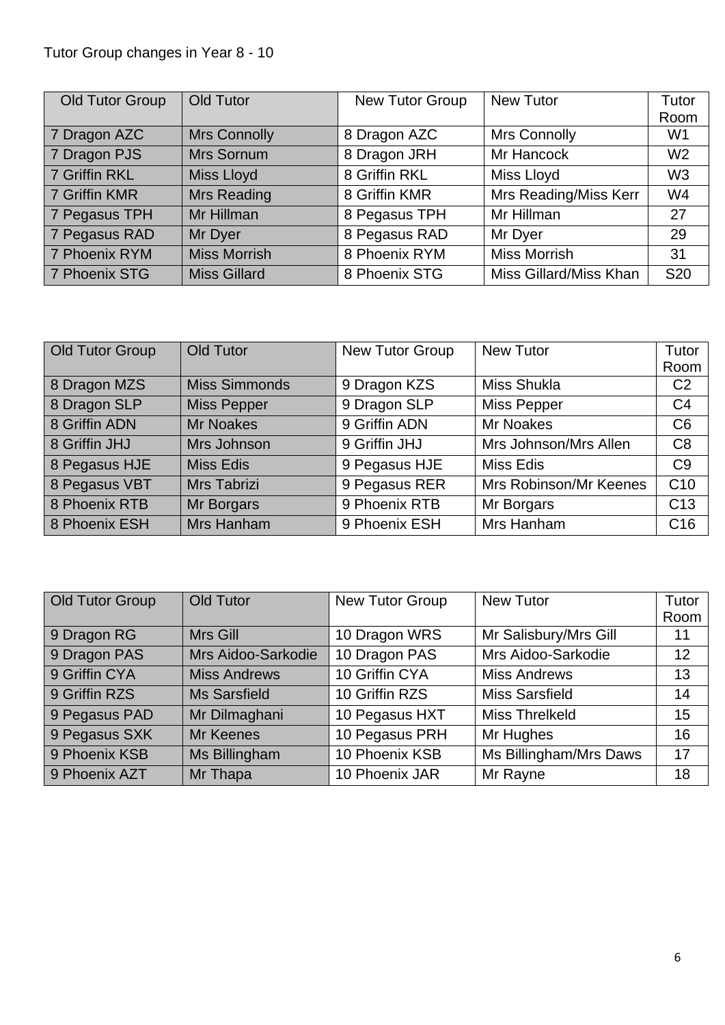# Tutor Group changes in Year 8 - 10

| Old Tutor Group | Old Tutor           | New Tutor Group | <b>New Tutor</b>       | Tutor          |
|-----------------|---------------------|-----------------|------------------------|----------------|
|                 |                     |                 |                        | Room           |
| 7 Dragon AZC    | <b>Mrs Connolly</b> | 8 Dragon AZC    | <b>Mrs Connolly</b>    | W <sub>1</sub> |
| 7 Dragon PJS    | Mrs Sornum          | 8 Dragon JRH    | Mr Hancock             | W <sub>2</sub> |
| 7 Griffin RKL   | Miss Lloyd          | 8 Griffin RKL   | Miss Lloyd             | W <sub>3</sub> |
| 7 Griffin KMR   | <b>Mrs Reading</b>  | 8 Griffin KMR   | Mrs Reading/Miss Kerr  | W <sub>4</sub> |
| 7 Pegasus TPH   | Mr Hillman          | 8 Pegasus TPH   | Mr Hillman             | 27             |
| 7 Pegasus RAD   | Mr Dyer             | 8 Pegasus RAD   | Mr Dyer                | 29             |
| 7 Phoenix RYM   | <b>Miss Morrish</b> | 8 Phoenix RYM   | <b>Miss Morrish</b>    | 31             |
| 7 Phoenix STG   | <b>Miss Gillard</b> | 8 Phoenix STG   | Miss Gillard/Miss Khan | <b>S20</b>     |

| Old Tutor Group | Old Tutor            | New Tutor Group | <b>New Tutor</b>       | Tutor           |
|-----------------|----------------------|-----------------|------------------------|-----------------|
|                 |                      |                 |                        | Room            |
| 8 Dragon MZS    | <b>Miss Simmonds</b> | 9 Dragon KZS    | <b>Miss Shukla</b>     | C <sub>2</sub>  |
| 8 Dragon SLP    | <b>Miss Pepper</b>   | 9 Dragon SLP    | <b>Miss Pepper</b>     | C <sub>4</sub>  |
| 8 Griffin ADN   | <b>Mr Noakes</b>     | 9 Griffin ADN   | <b>Mr Noakes</b>       | C6              |
| 8 Griffin JHJ   | Mrs Johnson          | 9 Griffin JHJ   | Mrs Johnson/Mrs Allen  | C <sub>8</sub>  |
| 8 Pegasus HJE   | <b>Miss Edis</b>     | 9 Pegasus HJE   | <b>Miss Edis</b>       | C <sub>9</sub>  |
| 8 Pegasus VBT   | Mrs Tabrizi          | 9 Pegasus RER   | Mrs Robinson/Mr Keenes | C10             |
| 8 Phoenix RTB   | Mr Borgars           | 9 Phoenix RTB   | Mr Borgars             | C <sub>13</sub> |
| 8 Phoenix ESH   | Mrs Hanham           | 9 Phoenix ESH   | Mrs Hanham             | C <sub>16</sub> |

| Old Tutor Group | <b>Old Tutor</b>    | <b>New Tutor Group</b> | <b>New Tutor</b>       | Tutor |
|-----------------|---------------------|------------------------|------------------------|-------|
|                 |                     |                        |                        | Room  |
| 9 Dragon RG     | Mrs Gill            | 10 Dragon WRS          | Mr Salisbury/Mrs Gill  | 11    |
| 9 Dragon PAS    | Mrs Aidoo-Sarkodie  | 10 Dragon PAS          | Mrs Aidoo-Sarkodie     | 12    |
| 9 Griffin CYA   | <b>Miss Andrews</b> | 10 Griffin CYA         | <b>Miss Andrews</b>    | 13    |
| 9 Griffin RZS   | <b>Ms Sarsfield</b> | 10 Griffin RZS         | <b>Miss Sarsfield</b>  | 14    |
| 9 Pegasus PAD   | Mr Dilmaghani       | 10 Pegasus HXT         | <b>Miss Threlkeld</b>  | 15    |
| 9 Pegasus SXK   | Mr Keenes           | 10 Pegasus PRH         | Mr Hughes              | 16    |
| 9 Phoenix KSB   | Ms Billingham       | 10 Phoenix KSB         | Ms Billingham/Mrs Daws | 17    |
| 9 Phoenix AZT   | Mr Thapa            | 10 Phoenix JAR         | Mr Rayne               | 18    |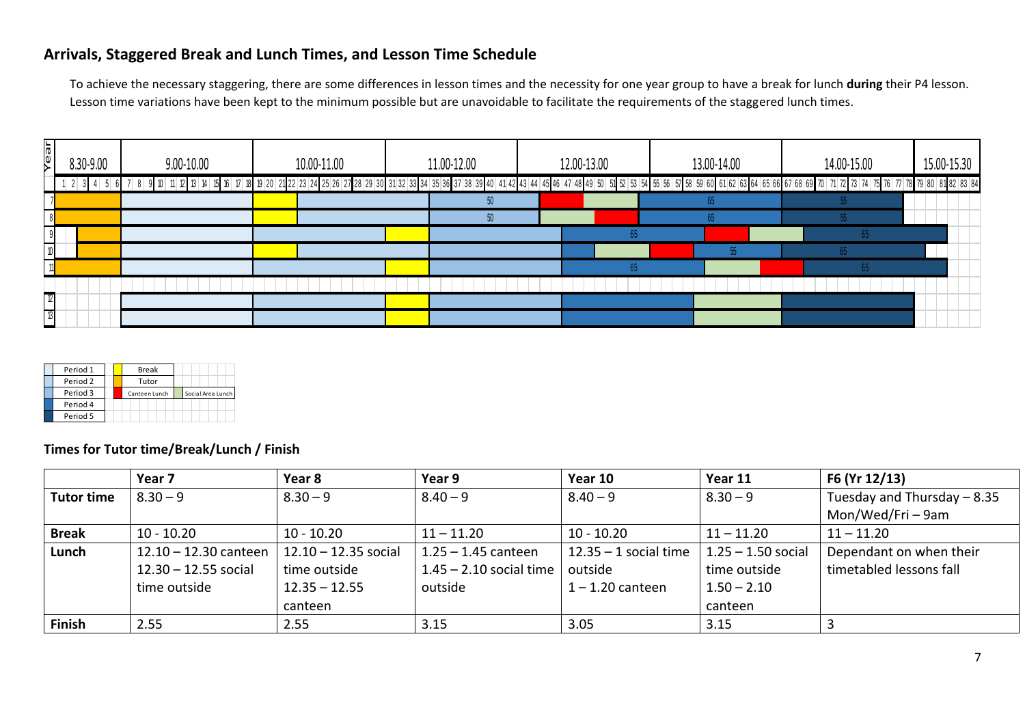# **Arrivals, Staggered Break and Lunch Times, and Lesson Time Schedule**

To achieve the necessary staggering, there are some differences in lesson times and the necessity for one year group to have a break for lunch **during** their P4 lesson. Lesson time variations have been kept to the minimum possible but are unavoidable to facilitate the requirements of the staggered lunch times.

| Year<br>8.30-9.00               | 9.00-10.00                                | 10.00-11.00            | 11.00-12.00                                                                                                                                                                                                                     | 12.00-13.00             | 13.00-14.00          | 14.00-15.00              | 15.00-15.30 |
|---------------------------------|-------------------------------------------|------------------------|---------------------------------------------------------------------------------------------------------------------------------------------------------------------------------------------------------------------------------|-------------------------|----------------------|--------------------------|-------------|
| $1 \t2 \t3 \t4 \t5 \t6 \t7 \t8$ |                                           |                        | 9 10 11 2 13 4 5 6 67 68 69 70 71 72 73 74 9 20 21 22 23 24 25 26 27 28 29 30 31 32 33 34 35 36 37 38 39 40 41 42 43 44 45 46 47 48 49 50 51 52 53 54 55 57 58 59 60 61 62 63 64 65 66 67 68 69 70 71 72 73 74 75 76 77 78 79 8 |                         |                      |                          |             |
|                                 |                                           |                        | 50 <sup>°</sup>                                                                                                                                                                                                                 |                         | 65                   |                          |             |
|                                 |                                           |                        | 50 <sub>2</sub>                                                                                                                                                                                                                 |                         | 65                   | 55 <sub>o</sub>          |             |
|                                 |                                           |                        |                                                                                                                                                                                                                                 | 65                      |                      | 65                       |             |
| $\sqrt{2}$                      |                                           |                        |                                                                                                                                                                                                                                 |                         | 55                   | 65 <sub>0</sub>          |             |
| 11                              |                                           |                        |                                                                                                                                                                                                                                 | 65                      |                      | 65                       |             |
|                                 |                                           |                        |                                                                                                                                                                                                                                 |                         |                      |                          |             |
| $\frac{1}{3}$                   |                                           |                        |                                                                                                                                                                                                                                 |                         |                      |                          |             |
|                                 |                                           |                        |                                                                                                                                                                                                                                 |                         |                      |                          |             |
| Period 4<br>Period 5            | Times for Tutor time/Break/Lunch / Finish |                        |                                                                                                                                                                                                                                 |                         |                      |                          |             |
|                                 | Year 7                                    | Year 8                 | Year 9                                                                                                                                                                                                                          | Year 10                 | Year 11              | F6 (Yr 12/13)            |             |
| <b>Tutor time</b>               | $8.30 - 9$                                | $8.30 - 9$             | $8.40 - 9$                                                                                                                                                                                                                      | $8.40 - 9$              | $8.30 - 9$           | Tuesday and Thursday - 8 |             |
|                                 |                                           |                        |                                                                                                                                                                                                                                 |                         |                      | Mon/Wed/Fri-9am          |             |
| <b>Break</b>                    | $10 - 10.20$                              | $10 - 10.20$           | $11 - 11.20$                                                                                                                                                                                                                    | $10 - 10.20$            | $11 - 11.20$         | $11 - 11.20$             |             |
| Lunch                           | $12.10 - 12.30$ canteen                   | $12.10 - 12.35$ social | $1.25 - 1.45$ canteen                                                                                                                                                                                                           | $12.35 - 1$ social time | $1.25 - 1.50$ social | Dependant on when their  |             |
|                                 | $12.30 - 12.55$ social                    | time outside           | $1.45 - 2.10$ social time                                                                                                                                                                                                       | outside                 | time outside         | timetabled lessons fall  |             |
|                                 | time outside                              | $12.35 - 12.55$        | outside                                                                                                                                                                                                                         | $1 - 1.20$ canteen      | $1.50 - 2.10$        |                          |             |
|                                 |                                           | canteen                |                                                                                                                                                                                                                                 |                         | canteen              |                          |             |
| Finish                          | 2.55                                      | 2.55                   | 3.15                                                                                                                                                                                                                            | 3.05                    | 3.15                 | 3                        |             |

| Period 1            | <b>Break</b>  |                   |
|---------------------|---------------|-------------------|
| Period <sub>2</sub> | Tutor         |                   |
| Period 3            | Canteen Lunch | Social Area Lunch |
| Period 4            |               |                   |
| Period 5            |               |                   |

|                   | Year 7                 | Year 8                 | Year 9                    | Year 10                 | Year 11              | F6 (Yr 12/13)                |
|-------------------|------------------------|------------------------|---------------------------|-------------------------|----------------------|------------------------------|
| <b>Tutor time</b> | $8.30 - 9$             | $8.30 - 9$             | $8.40 - 9$                | $8.40 - 9$              | $8.30 - 9$           | Tuesday and Thursday $-8.35$ |
|                   |                        |                        |                           |                         |                      | Mon/Wed/Fri-9am              |
| <b>Break</b>      | $10 - 10.20$           | $10 - 10.20$           | $11 - 11.20$              | $10 - 10.20$            | $11 - 11.20$         | $11 - 11.20$                 |
| Lunch             | 12.10 - 12.30 canteen  | $12.10 - 12.35$ social | $1.25 - 1.45$ canteen     | $12.35 - 1$ social time | $1.25 - 1.50$ social | Dependant on when their      |
|                   | $12.30 - 12.55$ social | time outside           | $1.45 - 2.10$ social time | outside                 | time outside         | timetabled lessons fall      |
|                   | time outside           | $12.35 - 12.55$        | outside                   | $1 - 1.20$ canteen      | $1.50 - 2.10$        |                              |
|                   |                        | canteen                |                           |                         | canteen              |                              |
| <b>Finish</b>     | 2.55                   | 2.55                   | 3.15                      | 3.05                    | 3.15                 |                              |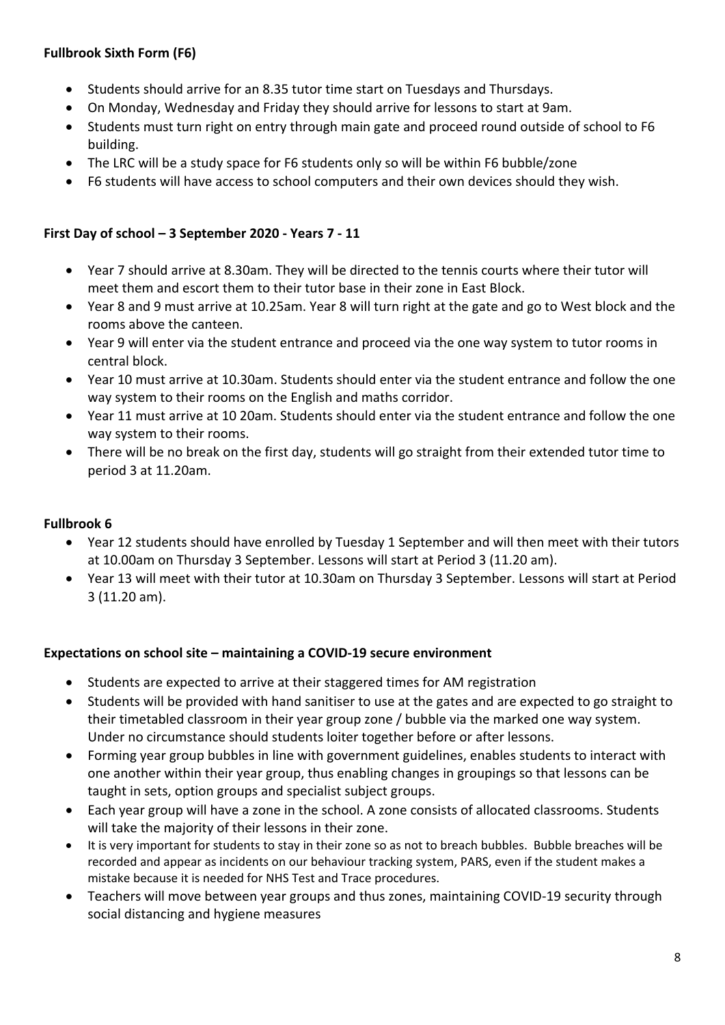# **Fullbrook Sixth Form (F6)**

- Students should arrive for an 8.35 tutor time start on Tuesdays and Thursdays.
- On Monday, Wednesday and Friday they should arrive for lessons to start at 9am.
- Students must turn right on entry through main gate and proceed round outside of school to F6 building.
- The LRC will be a study space for F6 students only so will be within F6 bubble/zone
- F6 students will have access to school computers and their own devices should they wish.

### **First Day of school – 3 September 2020 - Years 7 - 11**

- Year 7 should arrive at 8.30am. They will be directed to the tennis courts where their tutor will meet them and escort them to their tutor base in their zone in East Block.
- Year 8 and 9 must arrive at 10.25am. Year 8 will turn right at the gate and go to West block and the rooms above the canteen.
- Year 9 will enter via the student entrance and proceed via the one way system to tutor rooms in central block.
- Year 10 must arrive at 10.30am. Students should enter via the student entrance and follow the one way system to their rooms on the English and maths corridor.
- Year 11 must arrive at 10 20am. Students should enter via the student entrance and follow the one way system to their rooms.
- There will be no break on the first day, students will go straight from their extended tutor time to period 3 at 11.20am.

#### **Fullbrook 6**

- Year 12 students should have enrolled by Tuesday 1 September and will then meet with their tutors at 10.00am on Thursday 3 September. Lessons will start at Period 3 (11.20 am).
- Year 13 will meet with their tutor at 10.30am on Thursday 3 September. Lessons will start at Period 3 (11.20 am).

#### **Expectations on school site – maintaining a COVID-19 secure environment**

- Students are expected to arrive at their staggered times for AM registration
- Students will be provided with hand sanitiser to use at the gates and are expected to go straight to their timetabled classroom in their year group zone / bubble via the marked one way system. Under no circumstance should students loiter together before or after lessons.
- Forming year group bubbles in line with government guidelines, enables students to interact with one another within their year group, thus enabling changes in groupings so that lessons can be taught in sets, option groups and specialist subject groups.
- Each year group will have a zone in the school. A zone consists of allocated classrooms. Students will take the majority of their lessons in their zone.
- It is very important for students to stay in their zone so as not to breach bubbles. Bubble breaches will be recorded and appear as incidents on our behaviour tracking system, PARS, even if the student makes a mistake because it is needed for NHS Test and Trace procedures.
- Teachers will move between year groups and thus zones, maintaining COVID-19 security through social distancing and hygiene measures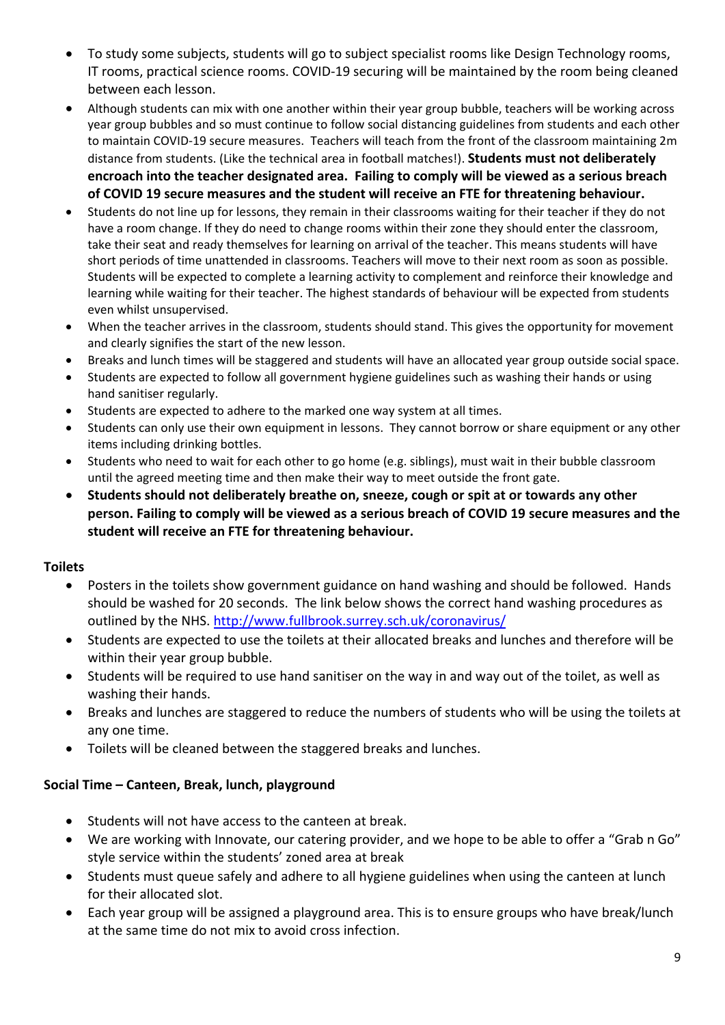- To study some subjects, students will go to subject specialist rooms like Design Technology rooms, IT rooms, practical science rooms. COVID-19 securing will be maintained by the room being cleaned between each lesson.
- Although students can mix with one another within their year group bubble, teachers will be working across year group bubbles and so must continue to follow social distancing guidelines from students and each other to maintain COVID-19 secure measures. Teachers will teach from the front of the classroom maintaining 2m distance from students. (Like the technical area in football matches!). **Students must not deliberately encroach into the teacher designated area. Failing to comply will be viewed as a serious breach of COVID 19 secure measures and the student will receive an FTE for threatening behaviour.**
- Students do not line up for lessons, they remain in their classrooms waiting for their teacher if they do not have a room change. If they do need to change rooms within their zone they should enter the classroom, take their seat and ready themselves for learning on arrival of the teacher. This means students will have short periods of time unattended in classrooms. Teachers will move to their next room as soon as possible. Students will be expected to complete a learning activity to complement and reinforce their knowledge and learning while waiting for their teacher. The highest standards of behaviour will be expected from students even whilst unsupervised.
- When the teacher arrives in the classroom, students should stand. This gives the opportunity for movement and clearly signifies the start of the new lesson.
- Breaks and lunch times will be staggered and students will have an allocated year group outside social space.
- Students are expected to follow all government hygiene guidelines such as washing their hands or using hand sanitiser regularly.
- Students are expected to adhere to the marked one way system at all times.
- Students can only use their own equipment in lessons. They cannot borrow or share equipment or any other items including drinking bottles.
- Students who need to wait for each other to go home (e.g. siblings), must wait in their bubble classroom until the agreed meeting time and then make their way to meet outside the front gate.
- **Students should not deliberately breathe on, sneeze, cough or spit at or towards any other person. Failing to comply will be viewed as a serious breach of COVID 19 secure measures and the student will receive an FTE for threatening behaviour.**

# **Toilets**

- Posters in the toilets show government guidance on hand washing and should be followed. Hands should be washed for 20 seconds. The link below shows the correct hand washing procedures as outlined by the NHS.<http://www.fullbrook.surrey.sch.uk/coronavirus/>
- Students are expected to use the toilets at their allocated breaks and lunches and therefore will be within their year group bubble.
- Students will be required to use hand sanitiser on the way in and way out of the toilet, as well as washing their hands.
- Breaks and lunches are staggered to reduce the numbers of students who will be using the toilets at any one time.
- Toilets will be cleaned between the staggered breaks and lunches.

# **Social Time – Canteen, Break, lunch, playground**

- Students will not have access to the canteen at break.
- We are working with Innovate, our catering provider, and we hope to be able to offer a "Grab n Go" style service within the students' zoned area at break
- Students must queue safely and adhere to all hygiene guidelines when using the canteen at lunch for their allocated slot.
- Each year group will be assigned a playground area. This is to ensure groups who have break/lunch at the same time do not mix to avoid cross infection.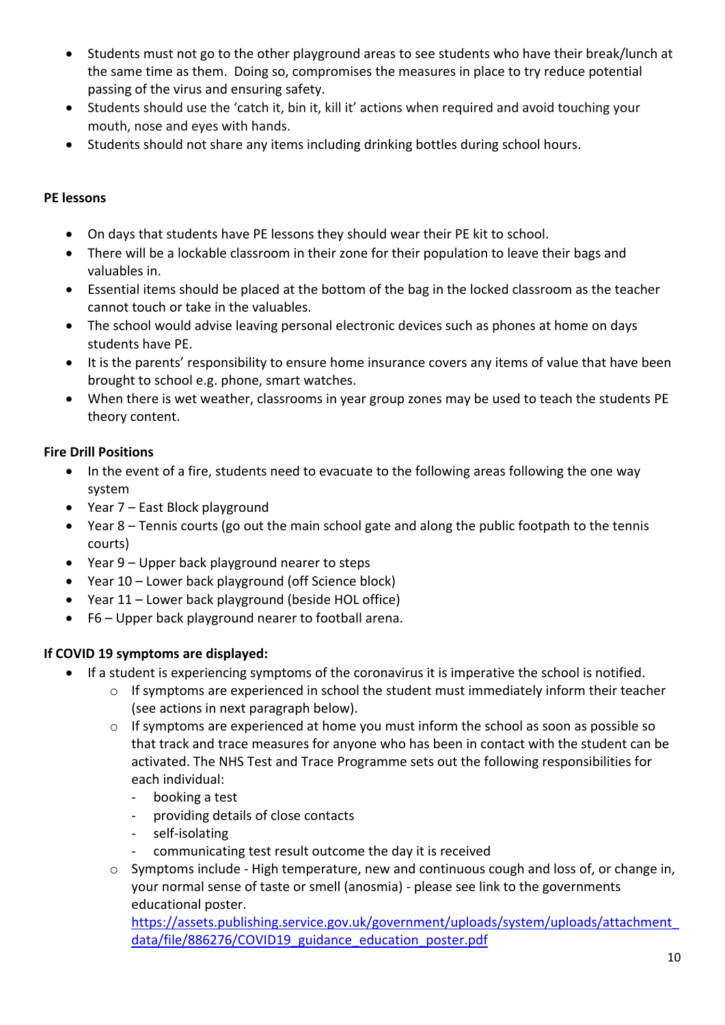- Students must not go to the other playground areas to see students who have their break/lunch at the same time as them. Doing so, compromises the measures in place to try reduce potential passing of the virus and ensuring safety.
- Students should use the 'catch it, bin it, kill it' actions when required and avoid touching your mouth, nose and eyes with hands.
- Students should not share any items including drinking bottles during school hours.

## **PE lessons**

- On days that students have PE lessons they should wear their PE kit to school.
- There will be a lockable classroom in their zone for their population to leave their bags and valuables in.
- Essential items should be placed at the bottom of the bag in the locked classroom as the teacher cannot touch or take in the valuables.
- The school would advise leaving personal electronic devices such as phones at home on days students have PE.
- It is the parents' responsibility to ensure home insurance covers any items of value that have been brought to school e.g. phone, smart watches.
- When there is wet weather, classrooms in year group zones may be used to teach the students PE theory content.

## **Fire Drill Positions**

- In the event of a fire, students need to evacuate to the following areas following the one way system
- Year 7 East Block playground
- Year 8 Tennis courts (go out the main school gate and along the public footpath to the tennis courts)
- Year 9 Upper back playground nearer to steps
- Year 10 Lower back playground (off Science block)
- Year 11 Lower back playground (beside HOL office)
- F6 Upper back playground nearer to football arena.

# **If COVID 19 symptoms are displayed:**

- If a student is experiencing symptoms of the coronavirus it is imperative the school is notified.
	- o If symptoms are experienced in school the student must immediately inform their teacher (see actions in next paragraph below).
	- $\circ$  If symptoms are experienced at home you must inform the school as soon as possible so that track and trace measures for anyone who has been in contact with the student can be activated. The NHS Test and Trace Programme sets out the following responsibilities for each individual:
		- booking a test
		- providing details of close contacts
		- self-isolating
		- communicating test result outcome the day it is received
	- $\circ$  Symptoms include High temperature, new and continuous cough and loss of, or change in, your normal sense of taste or smell (anosmia) - please see link to the governments educational poster.

[https://assets.publishing.service.gov.uk/government/uploads/system/uploads/attachment\\_](https://assets.publishing.service.gov.uk/government/uploads/system/uploads/attachment_data/file/886276/COVID19_guidance_education_poster.pdf) [data/file/886276/COVID19\\_guidance\\_education\\_poster.pdf](https://assets.publishing.service.gov.uk/government/uploads/system/uploads/attachment_data/file/886276/COVID19_guidance_education_poster.pdf)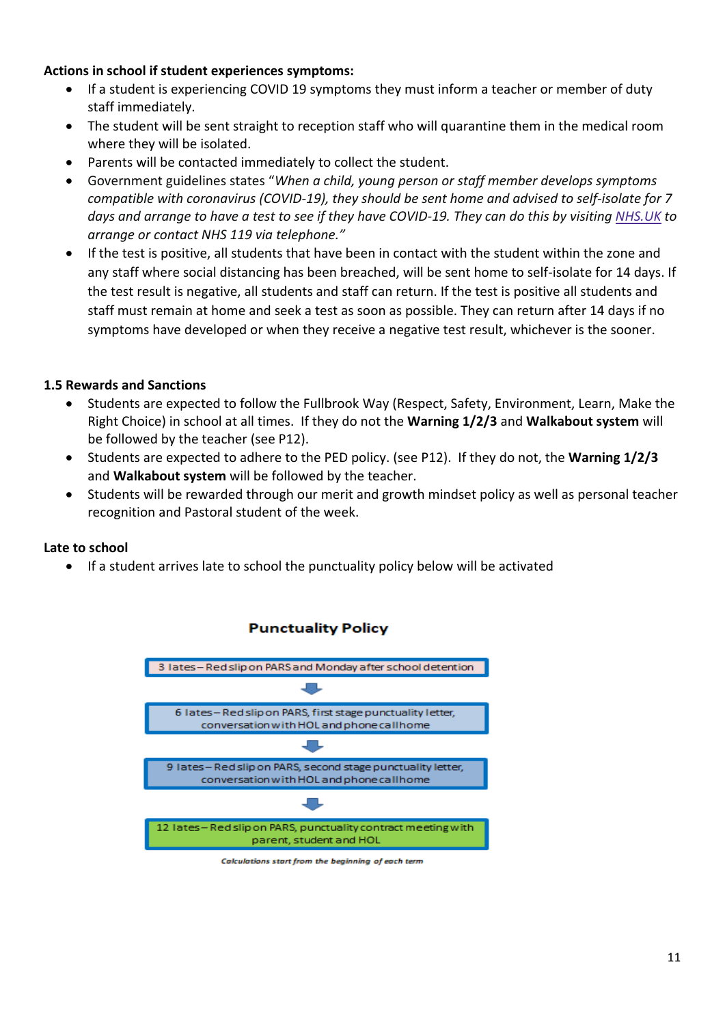#### **Actions in school if student experiences symptoms:**

- If a student is experiencing COVID 19 symptoms they must inform a teacher or member of duty staff immediately.
- The student will be sent straight to reception staff who will quarantine them in the medical room where they will be isolated.
- Parents will be contacted immediately to collect the student.
- Government guidelines states "*When a child, young person or staff member develops symptoms compatible with coronavirus (COVID-19), they should be sent home and advised to self-isolate for 7 days and arrange to have a test to see if they have COVID-19. They can do this by visiting [NHS.UK](https://www.nhs.uk/conditions/coronavirus-covid-19/testing-for-coronavirus/ask-for-a-test-to-check-if-you-have-coronavirus/) to arrange or contact NHS 119 via telephone."*
- If the test is positive, all students that have been in contact with the student within the zone and any staff where social distancing has been breached, will be sent home to self-isolate for 14 days. If the test result is negative, all students and staff can return. If the test is positive all students and staff must remain at home and seek a test as soon as possible. They can return after 14 days if no symptoms have developed or when they receive a negative test result, whichever is the sooner.

#### **1.5 Rewards and Sanctions**

- Students are expected to follow the Fullbrook Way (Respect, Safety, Environment, Learn, Make the Right Choice) in school at all times. If they do not the **Warning 1/2/3** and **Walkabout system** will be followed by the teacher (see P12).
- Students are expected to adhere to the PED policy. (see P12). If they do not, the **Warning 1/2/3** and **Walkabout system** will be followed by the teacher.
- Students will be rewarded through our merit and growth mindset policy as well as personal teacher recognition and Pastoral student of the week.

#### **Late to school**

If a student arrives late to school the punctuality policy below will be activated



#### **Punctuality Policy**

Calculations start from the beginning of each term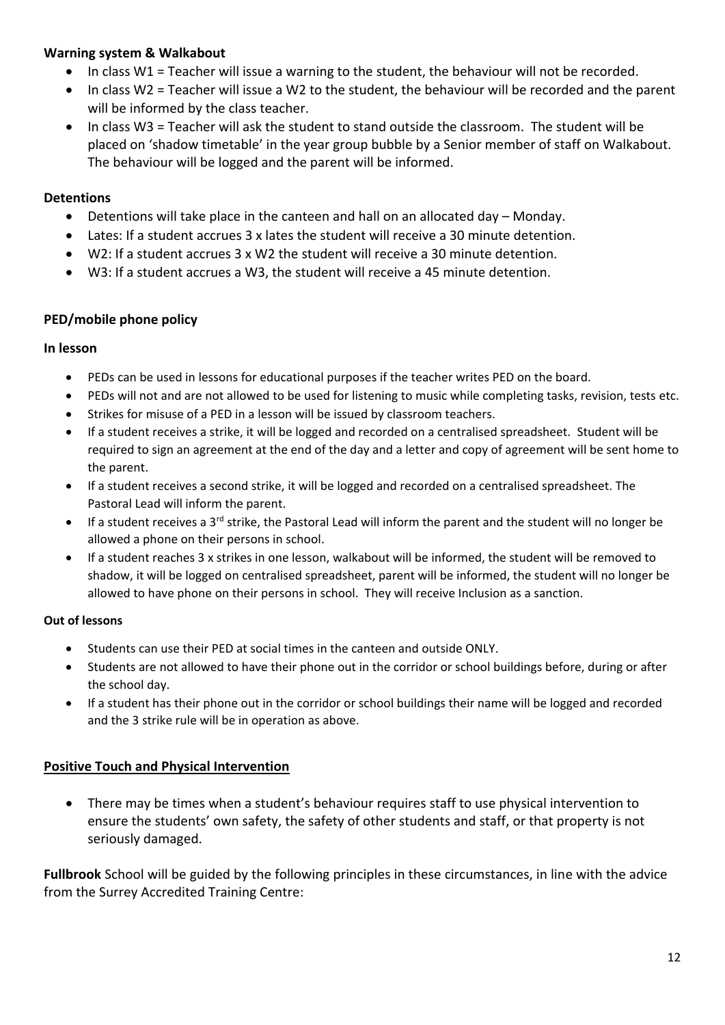#### **Warning system & Walkabout**

- In class W1 = Teacher will issue a warning to the student, the behaviour will not be recorded.
- In class W2 = Teacher will issue a W2 to the student, the behaviour will be recorded and the parent will be informed by the class teacher.
- In class W3 = Teacher will ask the student to stand outside the classroom. The student will be placed on 'shadow timetable' in the year group bubble by a Senior member of staff on Walkabout. The behaviour will be logged and the parent will be informed.

#### **Detentions**

- Detentions will take place in the canteen and hall on an allocated day Monday.
- Lates: If a student accrues 3 x lates the student will receive a 30 minute detention.
- W2: If a student accrues 3 x W2 the student will receive a 30 minute detention.
- W3: If a student accrues a W3, the student will receive a 45 minute detention.

#### **PED/mobile phone policy**

#### **In lesson**

- PEDs can be used in lessons for educational purposes if the teacher writes PED on the board.
- PEDs will not and are not allowed to be used for listening to music while completing tasks, revision, tests etc.
- Strikes for misuse of a PED in a lesson will be issued by classroom teachers.
- If a student receives a strike, it will be logged and recorded on a centralised spreadsheet. Student will be required to sign an agreement at the end of the day and a letter and copy of agreement will be sent home to the parent.
- If a student receives a second strike, it will be logged and recorded on a centralised spreadsheet. The Pastoral Lead will inform the parent.
- If a student receives a 3rd strike, the Pastoral Lead will inform the parent and the student will no longer be allowed a phone on their persons in school.
- If a student reaches 3 x strikes in one lesson, walkabout will be informed, the student will be removed to shadow, it will be logged on centralised spreadsheet, parent will be informed, the student will no longer be allowed to have phone on their persons in school. They will receive Inclusion as a sanction.

#### **Out of lessons**

- Students can use their PED at social times in the canteen and outside ONLY.
- Students are not allowed to have their phone out in the corridor or school buildings before, during or after the school day.
- If a student has their phone out in the corridor or school buildings their name will be logged and recorded and the 3 strike rule will be in operation as above.

#### **Positive Touch and Physical Intervention**

 There may be times when a student's behaviour requires staff to use physical intervention to ensure the students' own safety, the safety of other students and staff, or that property is not seriously damaged.

**Fullbrook** School will be guided by the following principles in these circumstances, in line with the advice from the Surrey Accredited Training Centre: